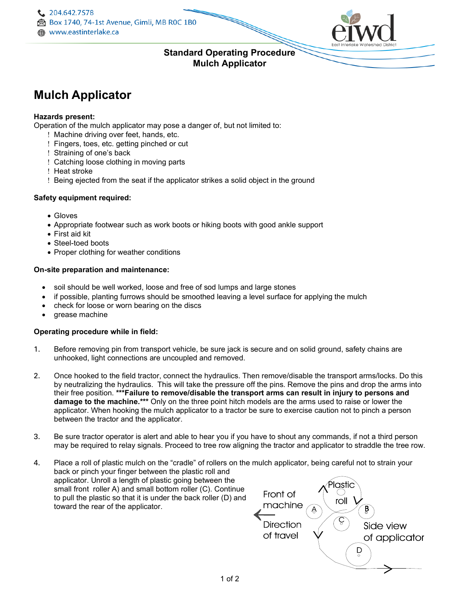

## **Standard Operating Procedure Mulch Applicator**

# **Mulch Applicator**

#### **Hazards present:**

Operation of the mulch applicator may pose a danger of, but not limited to:

- ! Machine driving over feet, hands, etc.
- ! Fingers, toes, etc. getting pinched or cut
- ! Straining of one's back
- ! Catching loose clothing in moving parts
- ! Heat stroke
- ! Being ejected from the seat if the applicator strikes a solid object in the ground

#### **Safety equipment required:**

- Gloves
- Appropriate footwear such as work boots or hiking boots with good ankle support
- First aid kit
- Steel-toed boots
- Proper clothing for weather conditions

#### **On-site preparation and maintenance:**

- soil should be well worked, loose and free of sod lumps and large stones
- if possible, planting furrows should be smoothed leaving a level surface for applying the mulch
- check for loose or worn bearing on the discs
- grease machine

#### **Operating procedure while in field:**

- 1. Before removing pin from transport vehicle, be sure jack is secure and on solid ground, safety chains are unhooked, light connections are uncoupled and removed.
- 2. Once hooked to the field tractor, connect the hydraulics. Then remove/disable the transport arms/locks. Do this by neutralizing the hydraulics. This will take the pressure off the pins. Remove the pins and drop the arms into their free position. **\*\*\*Failure to remove/disable the transport arms can result in injury to persons and damage to the machine.\*\*\*** Only on the three point hitch models are the arms used to raise or lower the applicator. When hooking the mulch applicator to a tractor be sure to exercise caution not to pinch a person between the tractor and the applicator.
- 3. Be sure tractor operator is alert and able to hear you if you have to shout any commands, if not a third person may be required to relay signals. Proceed to tree row aligning the tractor and applicator to straddle the tree row.
- 4. Place a roll of plastic mulch on the "cradle" of rollers on the mulch applicator, being careful not to strain your back or pinch your finger between the plastic roll and applicator. Unroll a length of plastic going between the lastic small front roller A) and small bottom roller (C). Continue Front of to pull the plastic so that it is under the back roller (D) and roll machine toward the rear of the applicator.B